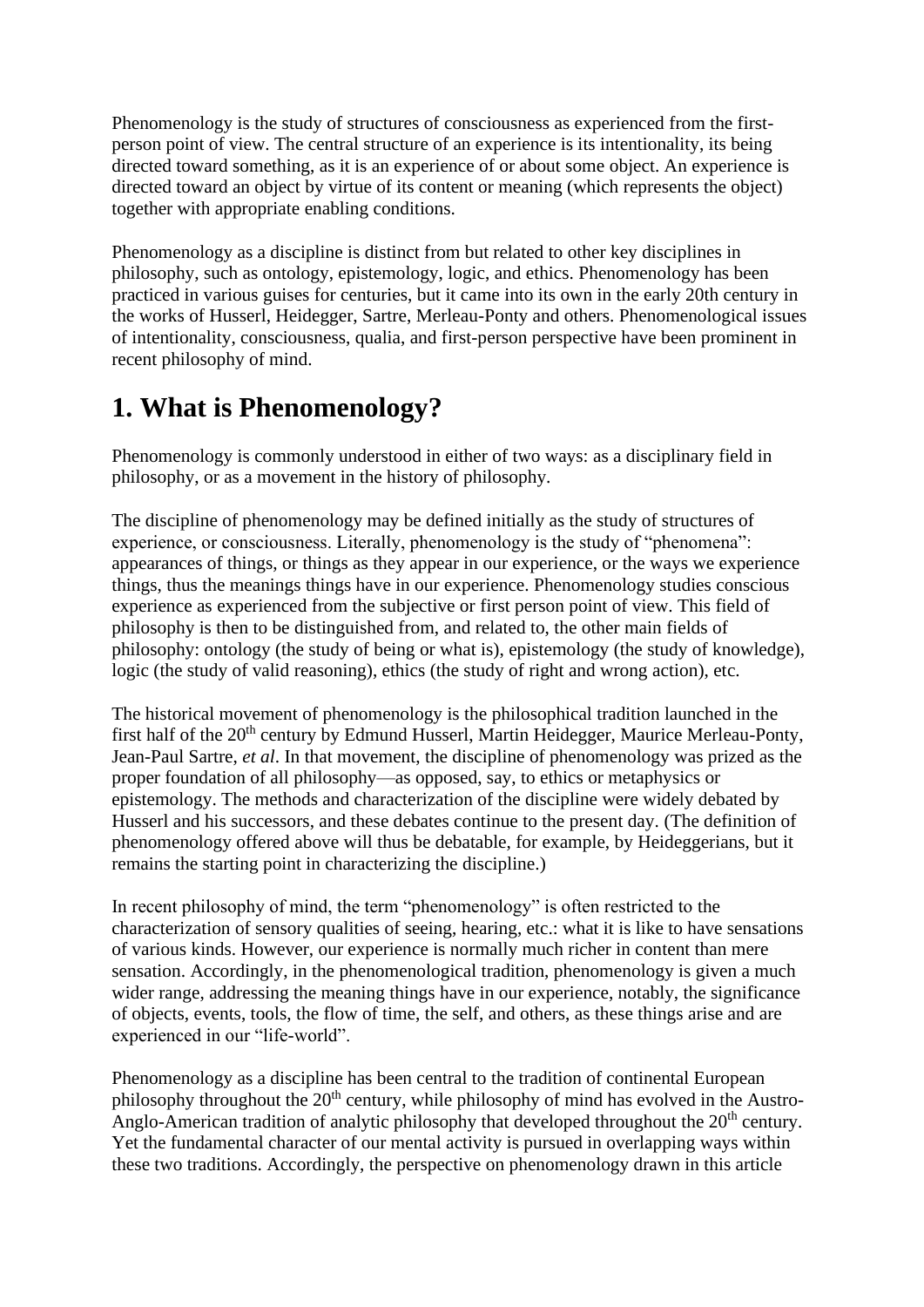Phenomenology is the study of structures of consciousness as experienced from the firstperson point of view. The central structure of an experience is its intentionality, its being directed toward something, as it is an experience of or about some object. An experience is directed toward an object by virtue of its content or meaning (which represents the object) together with appropriate enabling conditions.

Phenomenology as a discipline is distinct from but related to other key disciplines in philosophy, such as ontology, epistemology, logic, and ethics. Phenomenology has been practiced in various guises for centuries, but it came into its own in the early 20th century in the works of Husserl, Heidegger, Sartre, Merleau-Ponty and others. Phenomenological issues of intentionality, consciousness, qualia, and first-person perspective have been prominent in recent philosophy of mind.

## **1. What is Phenomenology?**

Phenomenology is commonly understood in either of two ways: as a disciplinary field in philosophy, or as a movement in the history of philosophy.

The discipline of phenomenology may be defined initially as the study of structures of experience, or consciousness. Literally, phenomenology is the study of "phenomena": appearances of things, or things as they appear in our experience, or the ways we experience things, thus the meanings things have in our experience. Phenomenology studies conscious experience as experienced from the subjective or first person point of view. This field of philosophy is then to be distinguished from, and related to, the other main fields of philosophy: ontology (the study of being or what is), epistemology (the study of knowledge), logic (the study of valid reasoning), ethics (the study of right and wrong action), etc.

The historical movement of phenomenology is the philosophical tradition launched in the first half of the 20<sup>th</sup> century by Edmund Husserl, Martin Heidegger, Maurice Merleau-Ponty, Jean-Paul Sartre, *et al*. In that movement, the discipline of phenomenology was prized as the proper foundation of all philosophy—as opposed, say, to ethics or metaphysics or epistemology. The methods and characterization of the discipline were widely debated by Husserl and his successors, and these debates continue to the present day. (The definition of phenomenology offered above will thus be debatable, for example, by Heideggerians, but it remains the starting point in characterizing the discipline.)

In recent philosophy of mind, the term "phenomenology" is often restricted to the characterization of sensory qualities of seeing, hearing, etc.: what it is like to have sensations of various kinds. However, our experience is normally much richer in content than mere sensation. Accordingly, in the phenomenological tradition, phenomenology is given a much wider range, addressing the meaning things have in our experience, notably, the significance of objects, events, tools, the flow of time, the self, and others, as these things arise and are experienced in our "life-world".

Phenomenology as a discipline has been central to the tradition of continental European philosophy throughout the  $20<sup>th</sup>$  century, while philosophy of mind has evolved in the Austro-Anglo-American tradition of analytic philosophy that developed throughout the  $20<sup>th</sup>$  century. Yet the fundamental character of our mental activity is pursued in overlapping ways within these two traditions. Accordingly, the perspective on phenomenology drawn in this article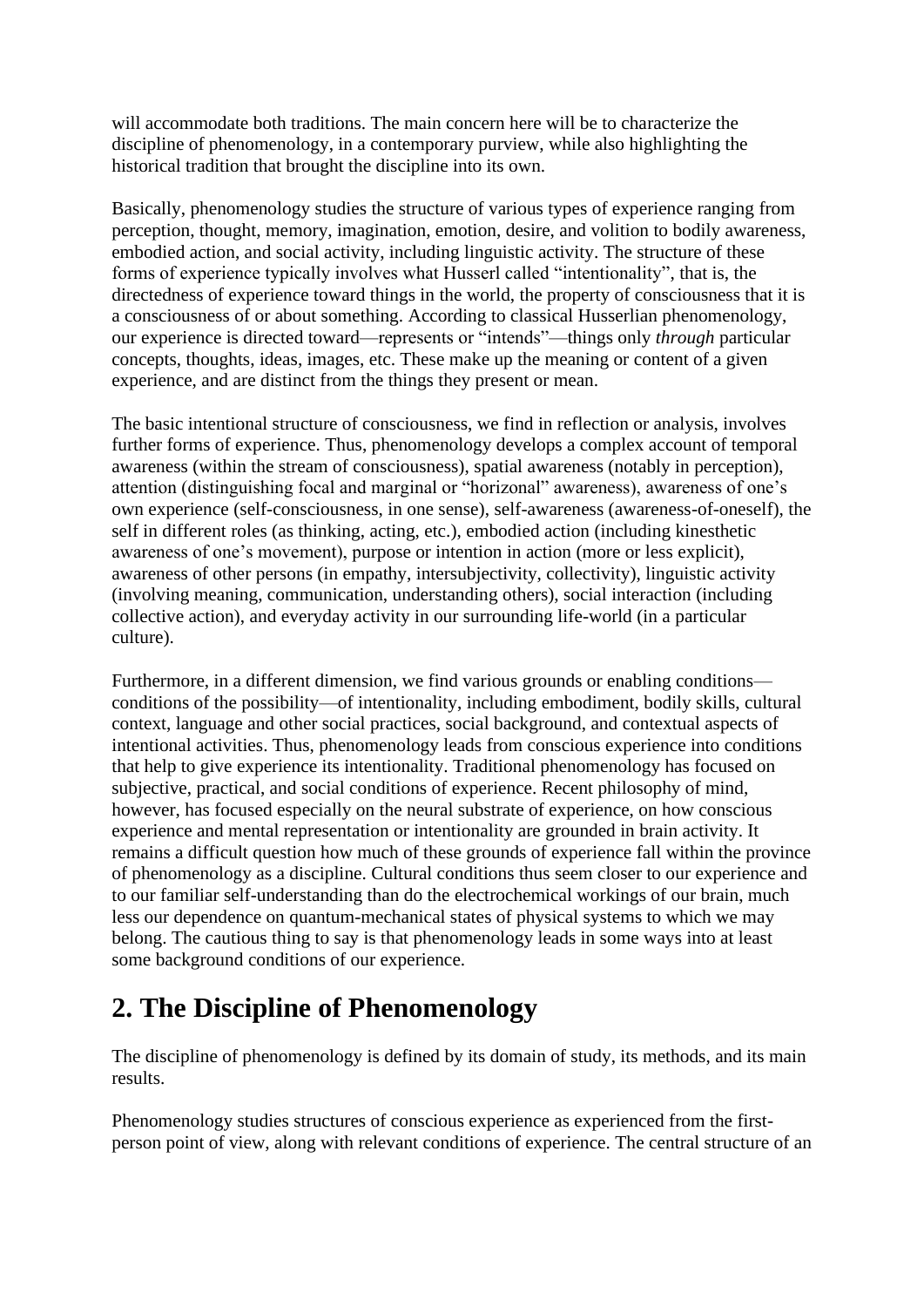will accommodate both traditions. The main concern here will be to characterize the discipline of phenomenology, in a contemporary purview, while also highlighting the historical tradition that brought the discipline into its own.

Basically, phenomenology studies the structure of various types of experience ranging from perception, thought, memory, imagination, emotion, desire, and volition to bodily awareness, embodied action, and social activity, including linguistic activity. The structure of these forms of experience typically involves what Husserl called "intentionality", that is, the directedness of experience toward things in the world, the property of consciousness that it is a consciousness of or about something. According to classical Husserlian phenomenology, our experience is directed toward—represents or "intends"—things only *through* particular concepts, thoughts, ideas, images, etc. These make up the meaning or content of a given experience, and are distinct from the things they present or mean.

The basic intentional structure of consciousness, we find in reflection or analysis, involves further forms of experience. Thus, phenomenology develops a complex account of temporal awareness (within the stream of consciousness), spatial awareness (notably in perception), attention (distinguishing focal and marginal or "horizonal" awareness), awareness of one's own experience (self-consciousness, in one sense), self-awareness (awareness-of-oneself), the self in different roles (as thinking, acting, etc.), embodied action (including kinesthetic awareness of one's movement), purpose or intention in action (more or less explicit), awareness of other persons (in empathy, intersubjectivity, collectivity), linguistic activity (involving meaning, communication, understanding others), social interaction (including collective action), and everyday activity in our surrounding life-world (in a particular culture).

Furthermore, in a different dimension, we find various grounds or enabling conditions conditions of the possibility—of intentionality, including embodiment, bodily skills, cultural context, language and other social practices, social background, and contextual aspects of intentional activities. Thus, phenomenology leads from conscious experience into conditions that help to give experience its intentionality. Traditional phenomenology has focused on subjective, practical, and social conditions of experience. Recent philosophy of mind, however, has focused especially on the neural substrate of experience, on how conscious experience and mental representation or intentionality are grounded in brain activity. It remains a difficult question how much of these grounds of experience fall within the province of phenomenology as a discipline. Cultural conditions thus seem closer to our experience and to our familiar self-understanding than do the electrochemical workings of our brain, much less our dependence on quantum-mechanical states of physical systems to which we may belong. The cautious thing to say is that phenomenology leads in some ways into at least some background conditions of our experience.

## **2. The Discipline of Phenomenology**

The discipline of phenomenology is defined by its domain of study, its methods, and its main results.

Phenomenology studies structures of conscious experience as experienced from the firstperson point of view, along with relevant conditions of experience. The central structure of an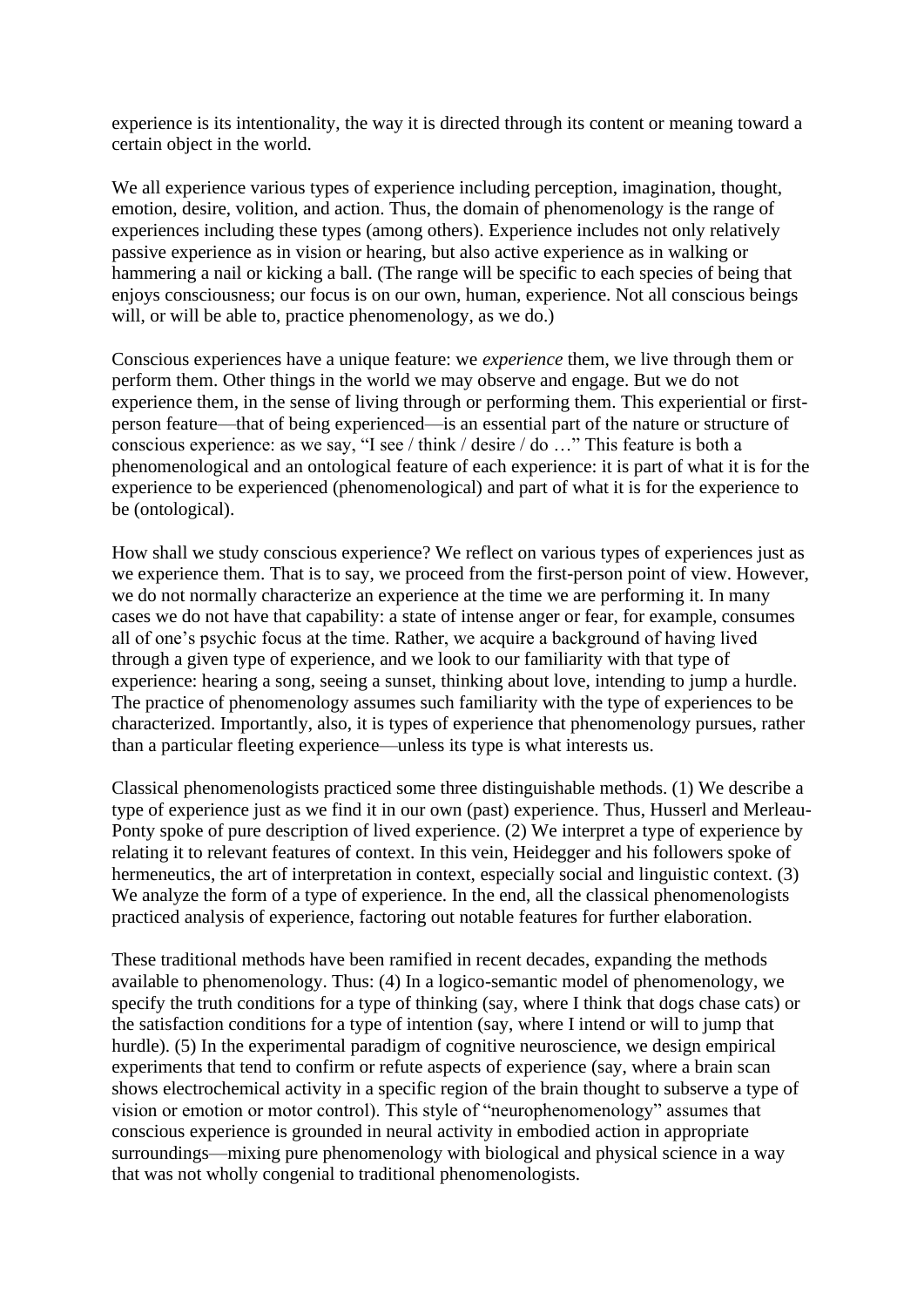experience is its intentionality, the way it is directed through its content or meaning toward a certain object in the world.

We all experience various types of experience including perception, imagination, thought, emotion, desire, volition, and action. Thus, the domain of phenomenology is the range of experiences including these types (among others). Experience includes not only relatively passive experience as in vision or hearing, but also active experience as in walking or hammering a nail or kicking a ball. (The range will be specific to each species of being that enjoys consciousness; our focus is on our own, human, experience. Not all conscious beings will, or will be able to, practice phenomenology, as we do.)

Conscious experiences have a unique feature: we *experience* them, we live through them or perform them. Other things in the world we may observe and engage. But we do not experience them, in the sense of living through or performing them. This experiential or firstperson feature—that of being experienced—is an essential part of the nature or structure of conscious experience: as we say, "I see / think / desire / do …" This feature is both a phenomenological and an ontological feature of each experience: it is part of what it is for the experience to be experienced (phenomenological) and part of what it is for the experience to be (ontological).

How shall we study conscious experience? We reflect on various types of experiences just as we experience them. That is to say, we proceed from the first-person point of view. However, we do not normally characterize an experience at the time we are performing it. In many cases we do not have that capability: a state of intense anger or fear, for example, consumes all of one's psychic focus at the time. Rather, we acquire a background of having lived through a given type of experience, and we look to our familiarity with that type of experience: hearing a song, seeing a sunset, thinking about love, intending to jump a hurdle. The practice of phenomenology assumes such familiarity with the type of experiences to be characterized. Importantly, also, it is types of experience that phenomenology pursues, rather than a particular fleeting experience—unless its type is what interests us.

Classical phenomenologists practiced some three distinguishable methods. (1) We describe a type of experience just as we find it in our own (past) experience. Thus, Husserl and Merleau-Ponty spoke of pure description of lived experience. (2) We interpret a type of experience by relating it to relevant features of context. In this vein, Heidegger and his followers spoke of hermeneutics, the art of interpretation in context, especially social and linguistic context. (3) We analyze the form of a type of experience. In the end, all the classical phenomenologists practiced analysis of experience, factoring out notable features for further elaboration.

These traditional methods have been ramified in recent decades, expanding the methods available to phenomenology. Thus: (4) In a logico-semantic model of phenomenology, we specify the truth conditions for a type of thinking (say, where I think that dogs chase cats) or the satisfaction conditions for a type of intention (say, where I intend or will to jump that hurdle). (5) In the experimental paradigm of cognitive neuroscience, we design empirical experiments that tend to confirm or refute aspects of experience (say, where a brain scan shows electrochemical activity in a specific region of the brain thought to subserve a type of vision or emotion or motor control). This style of "neurophenomenology" assumes that conscious experience is grounded in neural activity in embodied action in appropriate surroundings—mixing pure phenomenology with biological and physical science in a way that was not wholly congenial to traditional phenomenologists.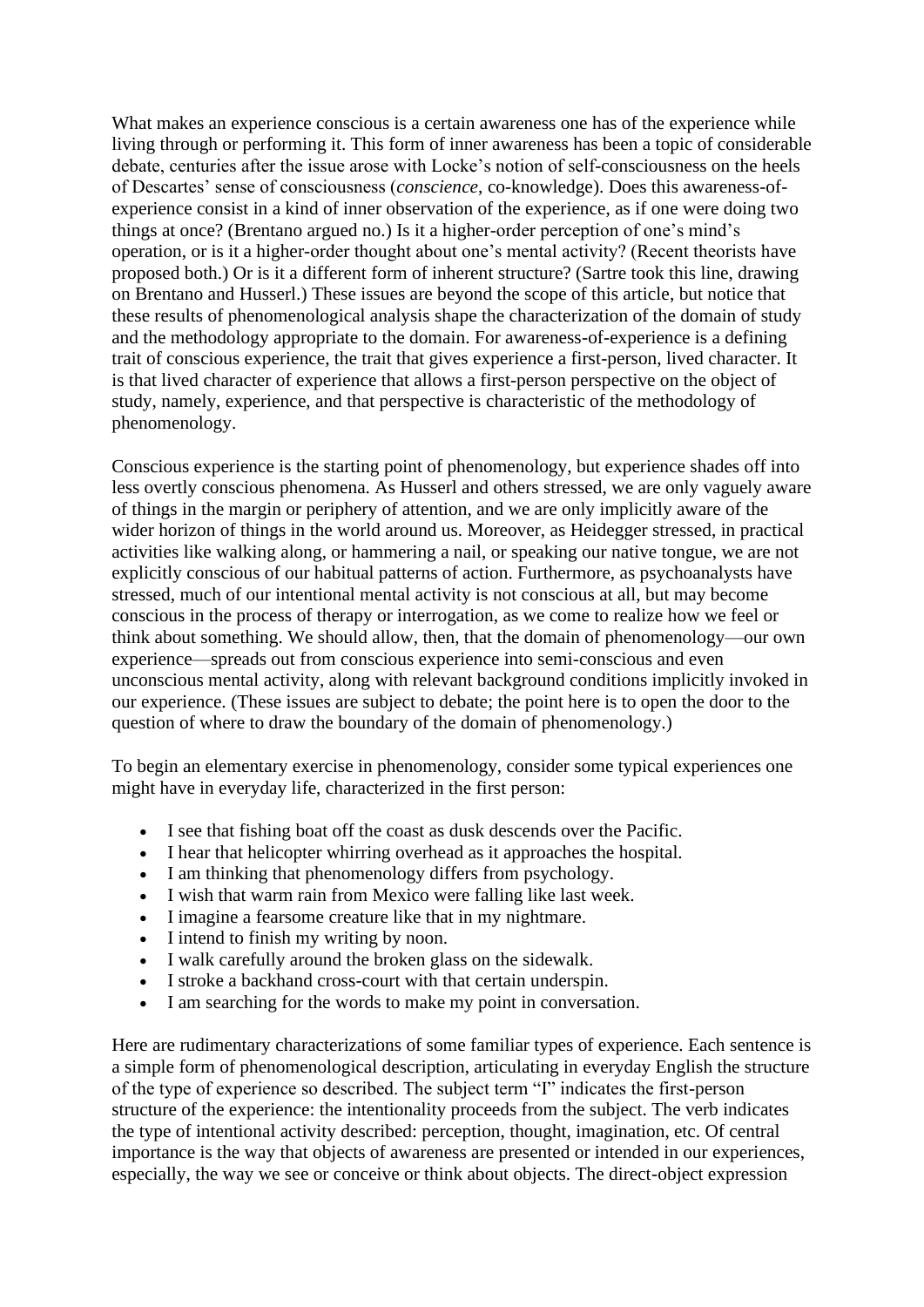What makes an experience conscious is a certain awareness one has of the experience while living through or performing it. This form of inner awareness has been a topic of considerable debate, centuries after the issue arose with Locke's notion of self-consciousness on the heels of Descartes' sense of consciousness (*conscience*, co-knowledge). Does this awareness-ofexperience consist in a kind of inner observation of the experience, as if one were doing two things at once? (Brentano argued no.) Is it a higher-order perception of one's mind's operation, or is it a higher-order thought about one's mental activity? (Recent theorists have proposed both.) Or is it a different form of inherent structure? (Sartre took this line, drawing on Brentano and Husserl.) These issues are beyond the scope of this article, but notice that these results of phenomenological analysis shape the characterization of the domain of study and the methodology appropriate to the domain. For awareness-of-experience is a defining trait of conscious experience, the trait that gives experience a first-person, lived character. It is that lived character of experience that allows a first-person perspective on the object of study, namely, experience, and that perspective is characteristic of the methodology of phenomenology.

Conscious experience is the starting point of phenomenology, but experience shades off into less overtly conscious phenomena. As Husserl and others stressed, we are only vaguely aware of things in the margin or periphery of attention, and we are only implicitly aware of the wider horizon of things in the world around us. Moreover, as Heidegger stressed, in practical activities like walking along, or hammering a nail, or speaking our native tongue, we are not explicitly conscious of our habitual patterns of action. Furthermore, as psychoanalysts have stressed, much of our intentional mental activity is not conscious at all, but may become conscious in the process of therapy or interrogation, as we come to realize how we feel or think about something. We should allow, then, that the domain of phenomenology—our own experience—spreads out from conscious experience into semi-conscious and even unconscious mental activity, along with relevant background conditions implicitly invoked in our experience. (These issues are subject to debate; the point here is to open the door to the question of where to draw the boundary of the domain of phenomenology.)

To begin an elementary exercise in phenomenology, consider some typical experiences one might have in everyday life, characterized in the first person:

- I see that fishing boat off the coast as dusk descends over the Pacific.
- I hear that helicopter whirring overhead as it approaches the hospital.
- I am thinking that phenomenology differs from psychology.
- I wish that warm rain from Mexico were falling like last week.
- I imagine a fearsome creature like that in my nightmare.
- I intend to finish my writing by noon.
- I walk carefully around the broken glass on the sidewalk.
- I stroke a backhand cross-court with that certain underspin.
- I am searching for the words to make my point in conversation.

Here are rudimentary characterizations of some familiar types of experience. Each sentence is a simple form of phenomenological description, articulating in everyday English the structure of the type of experience so described. The subject term "I" indicates the first-person structure of the experience: the intentionality proceeds from the subject. The verb indicates the type of intentional activity described: perception, thought, imagination, etc. Of central importance is the way that objects of awareness are presented or intended in our experiences, especially, the way we see or conceive or think about objects. The direct-object expression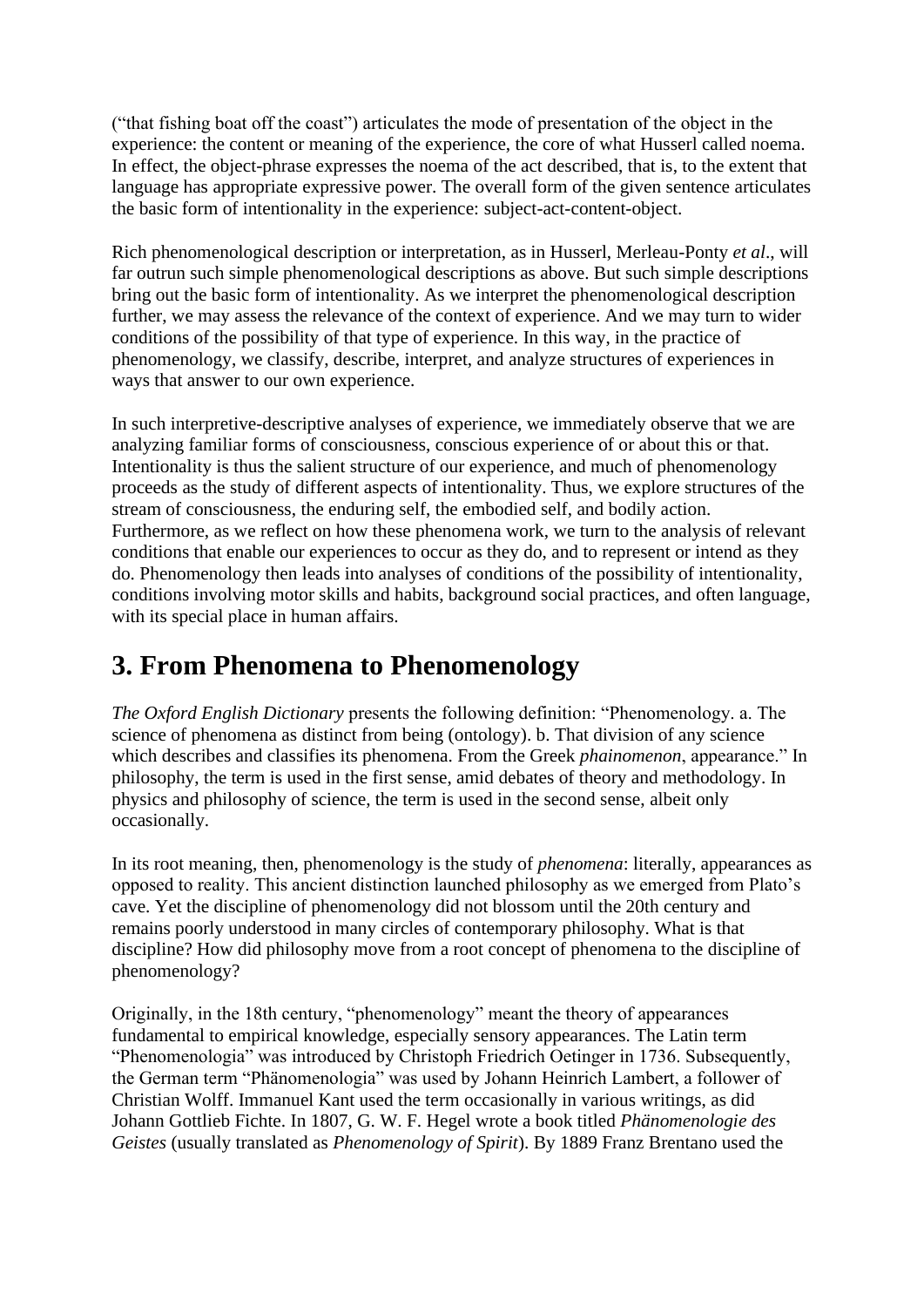("that fishing boat off the coast") articulates the mode of presentation of the object in the experience: the content or meaning of the experience, the core of what Husserl called noema. In effect, the object-phrase expresses the noema of the act described, that is, to the extent that language has appropriate expressive power. The overall form of the given sentence articulates the basic form of intentionality in the experience: subject-act-content-object.

Rich phenomenological description or interpretation, as in Husserl, Merleau-Ponty *et al*., will far outrun such simple phenomenological descriptions as above. But such simple descriptions bring out the basic form of intentionality. As we interpret the phenomenological description further, we may assess the relevance of the context of experience. And we may turn to wider conditions of the possibility of that type of experience. In this way, in the practice of phenomenology, we classify, describe, interpret, and analyze structures of experiences in ways that answer to our own experience.

In such interpretive-descriptive analyses of experience, we immediately observe that we are analyzing familiar forms of consciousness, conscious experience of or about this or that. Intentionality is thus the salient structure of our experience, and much of phenomenology proceeds as the study of different aspects of intentionality. Thus, we explore structures of the stream of consciousness, the enduring self, the embodied self, and bodily action. Furthermore, as we reflect on how these phenomena work, we turn to the analysis of relevant conditions that enable our experiences to occur as they do, and to represent or intend as they do. Phenomenology then leads into analyses of conditions of the possibility of intentionality, conditions involving motor skills and habits, background social practices, and often language, with its special place in human affairs.

## **3. From Phenomena to Phenomenology**

*The Oxford English Dictionary* presents the following definition: "Phenomenology. a. The science of phenomena as distinct from being (ontology). b. That division of any science which describes and classifies its phenomena. From the Greek *phainomenon*, appearance." In philosophy, the term is used in the first sense, amid debates of theory and methodology. In physics and philosophy of science, the term is used in the second sense, albeit only occasionally.

In its root meaning, then, phenomenology is the study of *phenomena*: literally, appearances as opposed to reality. This ancient distinction launched philosophy as we emerged from Plato's cave. Yet the discipline of phenomenology did not blossom until the 20th century and remains poorly understood in many circles of contemporary philosophy. What is that discipline? How did philosophy move from a root concept of phenomena to the discipline of phenomenology?

Originally, in the 18th century, "phenomenology" meant the theory of appearances fundamental to empirical knowledge, especially sensory appearances. The Latin term "Phenomenologia" was introduced by Christoph Friedrich Oetinger in 1736. Subsequently, the German term "Phänomenologia" was used by Johann Heinrich Lambert, a follower of Christian Wolff. Immanuel Kant used the term occasionally in various writings, as did Johann Gottlieb Fichte. In 1807, G. W. F. Hegel wrote a book titled *Phänomenologie des Geistes* (usually translated as *Phenomenology of Spirit*). By 1889 Franz Brentano used the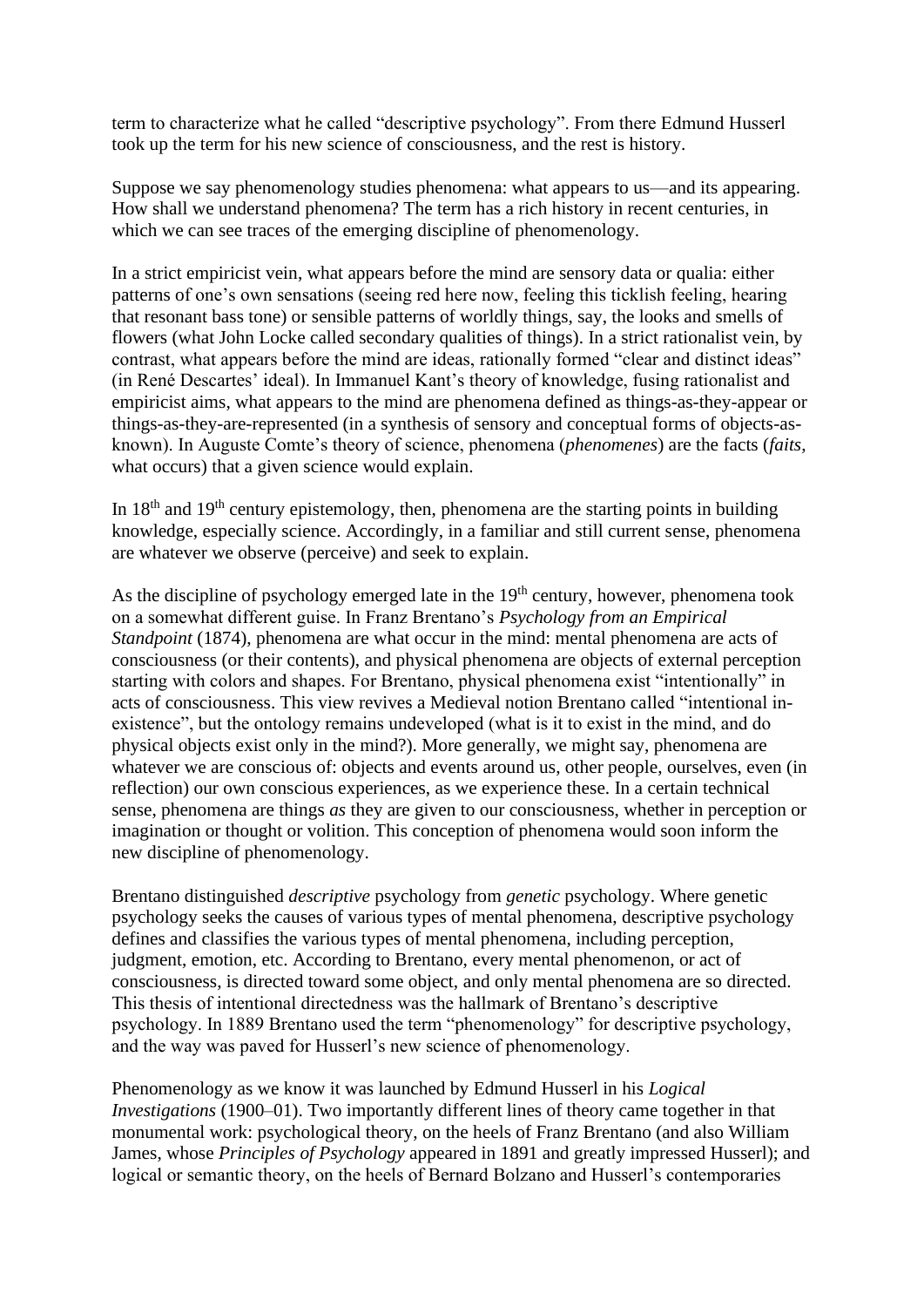term to characterize what he called "descriptive psychology". From there Edmund Husserl took up the term for his new science of consciousness, and the rest is history.

Suppose we say phenomenology studies phenomena: what appears to us—and its appearing. How shall we understand phenomena? The term has a rich history in recent centuries, in which we can see traces of the emerging discipline of phenomenology.

In a strict empiricist vein, what appears before the mind are sensory data or qualia: either patterns of one's own sensations (seeing red here now, feeling this ticklish feeling, hearing that resonant bass tone) or sensible patterns of worldly things, say, the looks and smells of flowers (what John Locke called secondary qualities of things). In a strict rationalist vein, by contrast, what appears before the mind are ideas, rationally formed "clear and distinct ideas" (in René Descartes' ideal). In Immanuel Kant's theory of knowledge, fusing rationalist and empiricist aims, what appears to the mind are phenomena defined as things-as-they-appear or things-as-they-are-represented (in a synthesis of sensory and conceptual forms of objects-asknown). In Auguste Comte's theory of science, phenomena (*phenomenes*) are the facts (*faits*, what occurs) that a given science would explain.

In  $18<sup>th</sup>$  and  $19<sup>th</sup>$  century epistemology, then, phenomena are the starting points in building knowledge, especially science. Accordingly, in a familiar and still current sense, phenomena are whatever we observe (perceive) and seek to explain.

As the discipline of psychology emerged late in the  $19<sup>th</sup>$  century, however, phenomena took on a somewhat different guise. In Franz Brentano's *Psychology from an Empirical Standpoint* (1874), phenomena are what occur in the mind: mental phenomena are acts of consciousness (or their contents), and physical phenomena are objects of external perception starting with colors and shapes. For Brentano, physical phenomena exist "intentionally" in acts of consciousness. This view revives a Medieval notion Brentano called "intentional inexistence", but the ontology remains undeveloped (what is it to exist in the mind, and do physical objects exist only in the mind?). More generally, we might say, phenomena are whatever we are conscious of: objects and events around us, other people, ourselves, even (in reflection) our own conscious experiences, as we experience these. In a certain technical sense, phenomena are things *as* they are given to our consciousness, whether in perception or imagination or thought or volition. This conception of phenomena would soon inform the new discipline of phenomenology.

Brentano distinguished *descriptive* psychology from *genetic* psychology. Where genetic psychology seeks the causes of various types of mental phenomena, descriptive psychology defines and classifies the various types of mental phenomena, including perception, judgment, emotion, etc. According to Brentano, every mental phenomenon, or act of consciousness, is directed toward some object, and only mental phenomena are so directed. This thesis of intentional directedness was the hallmark of Brentano's descriptive psychology. In 1889 Brentano used the term "phenomenology" for descriptive psychology, and the way was paved for Husserl's new science of phenomenology.

Phenomenology as we know it was launched by Edmund Husserl in his *Logical Investigations* (1900–01). Two importantly different lines of theory came together in that monumental work: psychological theory, on the heels of Franz Brentano (and also William James, whose *Principles of Psychology* appeared in 1891 and greatly impressed Husserl); and logical or semantic theory, on the heels of Bernard Bolzano and Husserl's contemporaries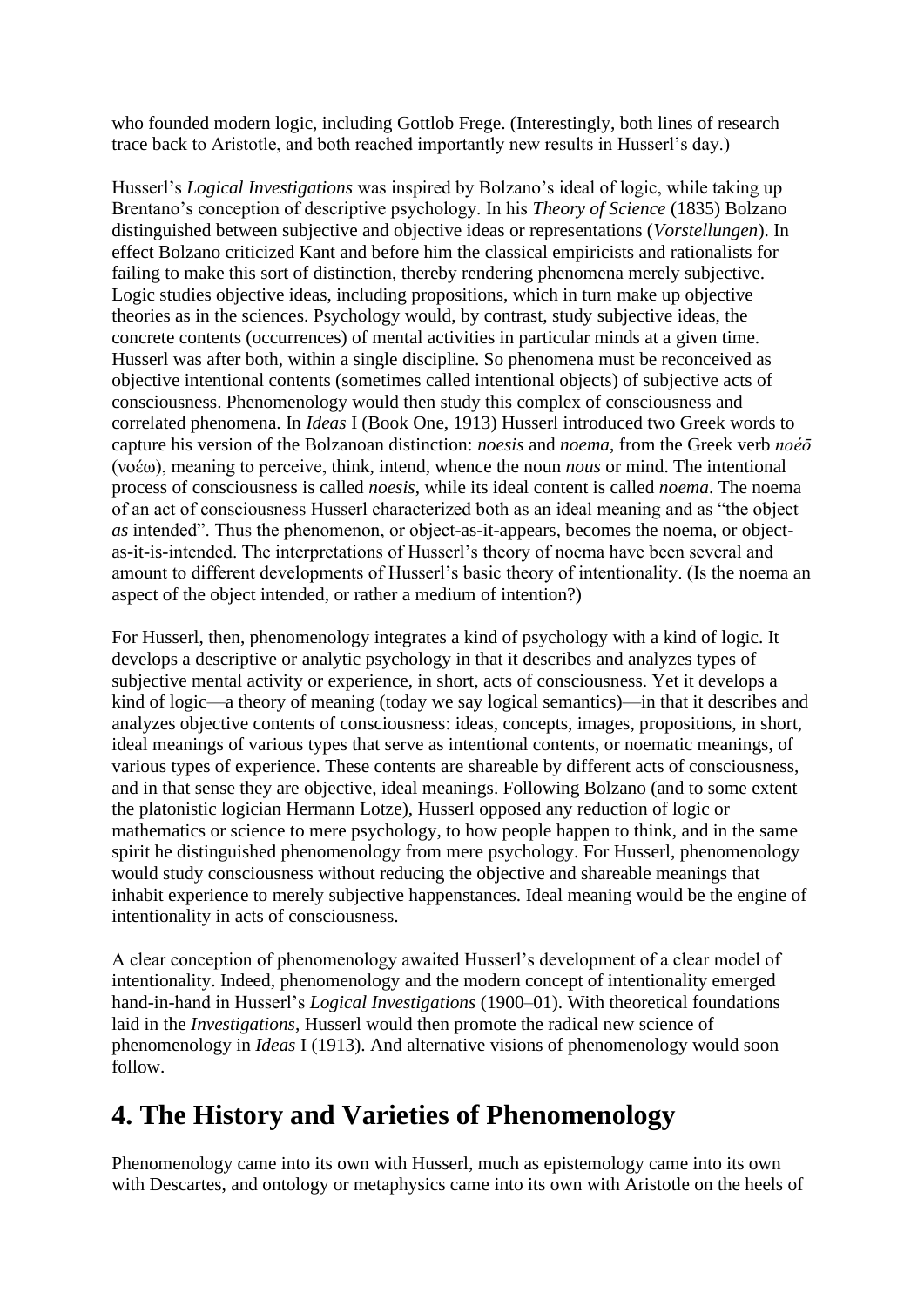who founded modern logic, including Gottlob Frege. (Interestingly, both lines of research trace back to Aristotle, and both reached importantly new results in Husserl's day.)

Husserl's *Logical Investigations* was inspired by Bolzano's ideal of logic, while taking up Brentano's conception of descriptive psychology. In his *Theory of Science* (1835) Bolzano distinguished between subjective and objective ideas or representations (*Vorstellungen*). In effect Bolzano criticized Kant and before him the classical empiricists and rationalists for failing to make this sort of distinction, thereby rendering phenomena merely subjective. Logic studies objective ideas, including propositions, which in turn make up objective theories as in the sciences. Psychology would, by contrast, study subjective ideas, the concrete contents (occurrences) of mental activities in particular minds at a given time. Husserl was after both, within a single discipline. So phenomena must be reconceived as objective intentional contents (sometimes called intentional objects) of subjective acts of consciousness. Phenomenology would then study this complex of consciousness and correlated phenomena. In *Ideas* I (Book One, 1913) Husserl introduced two Greek words to capture his version of the Bolzanoan distinction: *noesis* and *noema*, from the Greek verb *noéō* (νοέω), meaning to perceive, think, intend, whence the noun *nous* or mind. The intentional process of consciousness is called *noesis*, while its ideal content is called *noema*. The noema of an act of consciousness Husserl characterized both as an ideal meaning and as "the object *as* intended". Thus the phenomenon, or object-as-it-appears, becomes the noema, or objectas-it-is-intended. The interpretations of Husserl's theory of noema have been several and amount to different developments of Husserl's basic theory of intentionality. (Is the noema an aspect of the object intended, or rather a medium of intention?)

For Husserl, then, phenomenology integrates a kind of psychology with a kind of logic. It develops a descriptive or analytic psychology in that it describes and analyzes types of subjective mental activity or experience, in short, acts of consciousness. Yet it develops a kind of logic—a theory of meaning (today we say logical semantics)—in that it describes and analyzes objective contents of consciousness: ideas, concepts, images, propositions, in short, ideal meanings of various types that serve as intentional contents, or noematic meanings, of various types of experience. These contents are shareable by different acts of consciousness, and in that sense they are objective, ideal meanings. Following Bolzano (and to some extent the platonistic logician Hermann Lotze), Husserl opposed any reduction of logic or mathematics or science to mere psychology, to how people happen to think, and in the same spirit he distinguished phenomenology from mere psychology. For Husserl, phenomenology would study consciousness without reducing the objective and shareable meanings that inhabit experience to merely subjective happenstances. Ideal meaning would be the engine of intentionality in acts of consciousness.

A clear conception of phenomenology awaited Husserl's development of a clear model of intentionality. Indeed, phenomenology and the modern concept of intentionality emerged hand-in-hand in Husserl's *Logical Investigations* (1900–01). With theoretical foundations laid in the *Investigations*, Husserl would then promote the radical new science of phenomenology in *Ideas* I (1913). And alternative visions of phenomenology would soon follow.

## **4. The History and Varieties of Phenomenology**

Phenomenology came into its own with Husserl, much as epistemology came into its own with Descartes, and ontology or metaphysics came into its own with Aristotle on the heels of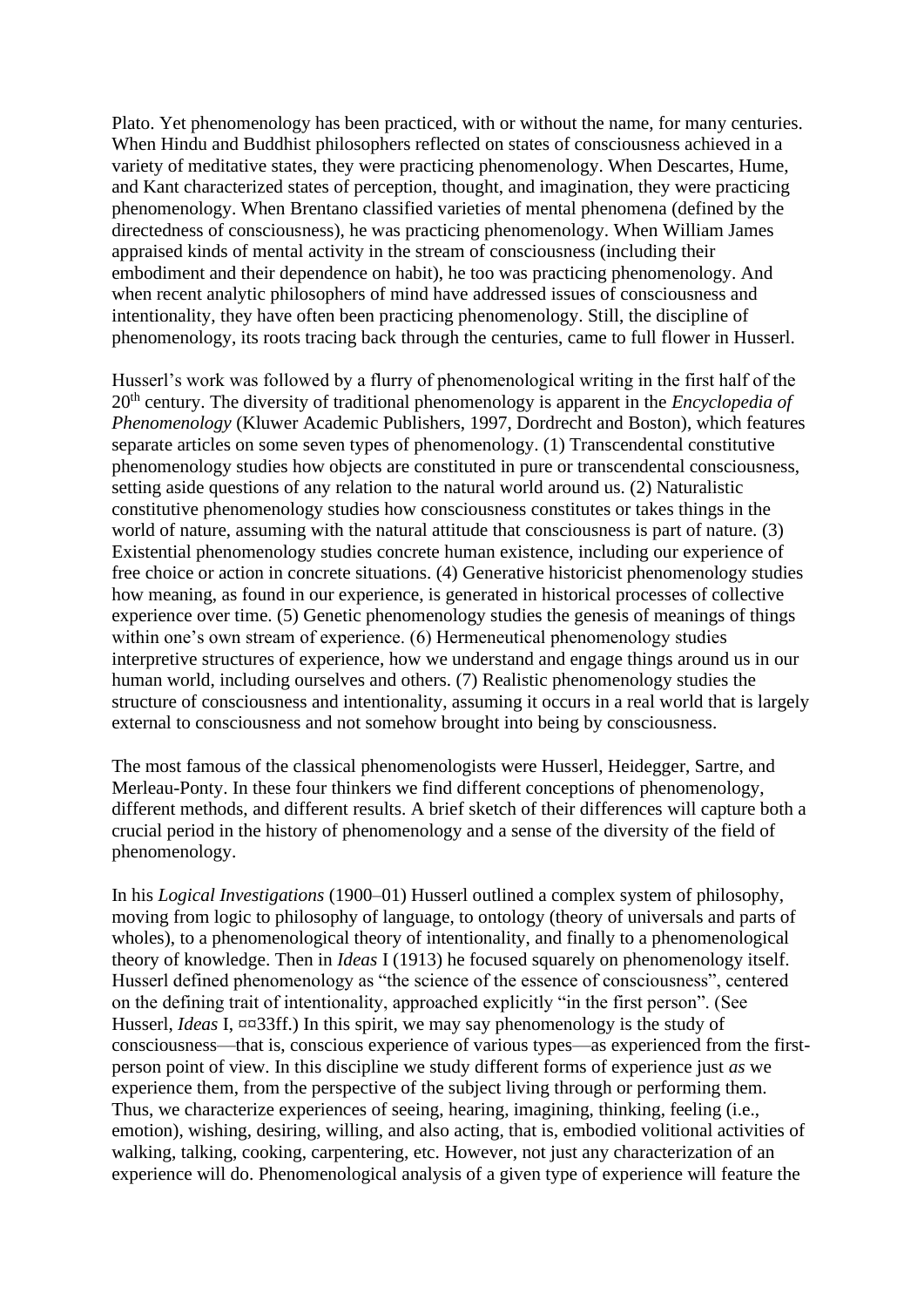Plato. Yet phenomenology has been practiced, with or without the name, for many centuries. When Hindu and Buddhist philosophers reflected on states of consciousness achieved in a variety of meditative states, they were practicing phenomenology. When Descartes, Hume, and Kant characterized states of perception, thought, and imagination, they were practicing phenomenology. When Brentano classified varieties of mental phenomena (defined by the directedness of consciousness), he was practicing phenomenology. When William James appraised kinds of mental activity in the stream of consciousness (including their embodiment and their dependence on habit), he too was practicing phenomenology. And when recent analytic philosophers of mind have addressed issues of consciousness and intentionality, they have often been practicing phenomenology. Still, the discipline of phenomenology, its roots tracing back through the centuries, came to full flower in Husserl.

Husserl's work was followed by a flurry of phenomenological writing in the first half of the 20th century. The diversity of traditional phenomenology is apparent in the *Encyclopedia of Phenomenology* (Kluwer Academic Publishers, 1997, Dordrecht and Boston), which features separate articles on some seven types of phenomenology. (1) Transcendental constitutive phenomenology studies how objects are constituted in pure or transcendental consciousness, setting aside questions of any relation to the natural world around us. (2) Naturalistic constitutive phenomenology studies how consciousness constitutes or takes things in the world of nature, assuming with the natural attitude that consciousness is part of nature. (3) Existential phenomenology studies concrete human existence, including our experience of free choice or action in concrete situations. (4) Generative historicist phenomenology studies how meaning, as found in our experience, is generated in historical processes of collective experience over time. (5) Genetic phenomenology studies the genesis of meanings of things within one's own stream of experience. (6) Hermeneutical phenomenology studies interpretive structures of experience, how we understand and engage things around us in our human world, including ourselves and others. (7) Realistic phenomenology studies the structure of consciousness and intentionality, assuming it occurs in a real world that is largely external to consciousness and not somehow brought into being by consciousness.

The most famous of the classical phenomenologists were Husserl, Heidegger, Sartre, and Merleau-Ponty. In these four thinkers we find different conceptions of phenomenology, different methods, and different results. A brief sketch of their differences will capture both a crucial period in the history of phenomenology and a sense of the diversity of the field of phenomenology.

In his *Logical Investigations* (1900–01) Husserl outlined a complex system of philosophy, moving from logic to philosophy of language, to ontology (theory of universals and parts of wholes), to a phenomenological theory of intentionality, and finally to a phenomenological theory of knowledge. Then in *Ideas* I (1913) he focused squarely on phenomenology itself. Husserl defined phenomenology as "the science of the essence of consciousness", centered on the defining trait of intentionality, approached explicitly "in the first person". (See Husserl, *Ideas* I, ¤¤33ff.) In this spirit, we may say phenomenology is the study of consciousness—that is, conscious experience of various types—as experienced from the firstperson point of view. In this discipline we study different forms of experience just *as* we experience them, from the perspective of the subject living through or performing them. Thus, we characterize experiences of seeing, hearing, imagining, thinking, feeling (i.e., emotion), wishing, desiring, willing, and also acting, that is, embodied volitional activities of walking, talking, cooking, carpentering, etc. However, not just any characterization of an experience will do. Phenomenological analysis of a given type of experience will feature the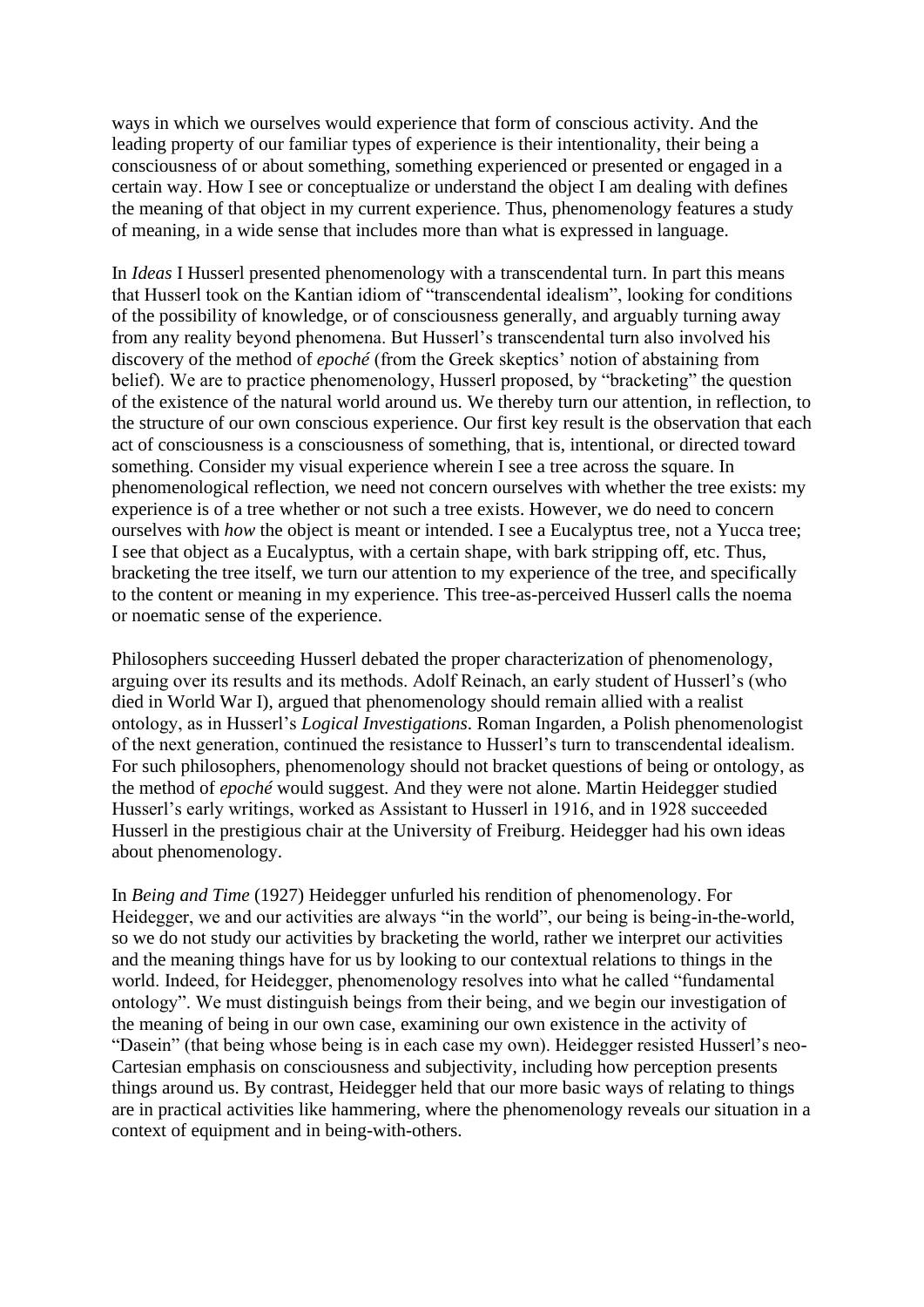ways in which we ourselves would experience that form of conscious activity. And the leading property of our familiar types of experience is their intentionality, their being a consciousness of or about something, something experienced or presented or engaged in a certain way. How I see or conceptualize or understand the object I am dealing with defines the meaning of that object in my current experience. Thus, phenomenology features a study of meaning, in a wide sense that includes more than what is expressed in language.

In *Ideas* I Husserl presented phenomenology with a transcendental turn. In part this means that Husserl took on the Kantian idiom of "transcendental idealism", looking for conditions of the possibility of knowledge, or of consciousness generally, and arguably turning away from any reality beyond phenomena. But Husserl's transcendental turn also involved his discovery of the method of *epoché* (from the Greek skeptics' notion of abstaining from belief). We are to practice phenomenology, Husserl proposed, by "bracketing" the question of the existence of the natural world around us. We thereby turn our attention, in reflection, to the structure of our own conscious experience. Our first key result is the observation that each act of consciousness is a consciousness of something, that is, intentional, or directed toward something. Consider my visual experience wherein I see a tree across the square. In phenomenological reflection, we need not concern ourselves with whether the tree exists: my experience is of a tree whether or not such a tree exists. However, we do need to concern ourselves with *how* the object is meant or intended. I see a Eucalyptus tree, not a Yucca tree; I see that object as a Eucalyptus, with a certain shape, with bark stripping off, etc. Thus, bracketing the tree itself, we turn our attention to my experience of the tree, and specifically to the content or meaning in my experience. This tree-as-perceived Husserl calls the noema or noematic sense of the experience.

Philosophers succeeding Husserl debated the proper characterization of phenomenology, arguing over its results and its methods. Adolf Reinach, an early student of Husserl's (who died in World War I), argued that phenomenology should remain allied with a realist ontology, as in Husserl's *Logical Investigations*. Roman Ingarden, a Polish phenomenologist of the next generation, continued the resistance to Husserl's turn to transcendental idealism. For such philosophers, phenomenology should not bracket questions of being or ontology, as the method of *epoché* would suggest. And they were not alone. Martin Heidegger studied Husserl's early writings, worked as Assistant to Husserl in 1916, and in 1928 succeeded Husserl in the prestigious chair at the University of Freiburg. Heidegger had his own ideas about phenomenology.

In *Being and Time* (1927) Heidegger unfurled his rendition of phenomenology. For Heidegger, we and our activities are always "in the world", our being is being-in-the-world, so we do not study our activities by bracketing the world, rather we interpret our activities and the meaning things have for us by looking to our contextual relations to things in the world. Indeed, for Heidegger, phenomenology resolves into what he called "fundamental ontology". We must distinguish beings from their being, and we begin our investigation of the meaning of being in our own case, examining our own existence in the activity of "Dasein" (that being whose being is in each case my own). Heidegger resisted Husserl's neo-Cartesian emphasis on consciousness and subjectivity, including how perception presents things around us. By contrast, Heidegger held that our more basic ways of relating to things are in practical activities like hammering, where the phenomenology reveals our situation in a context of equipment and in being-with-others.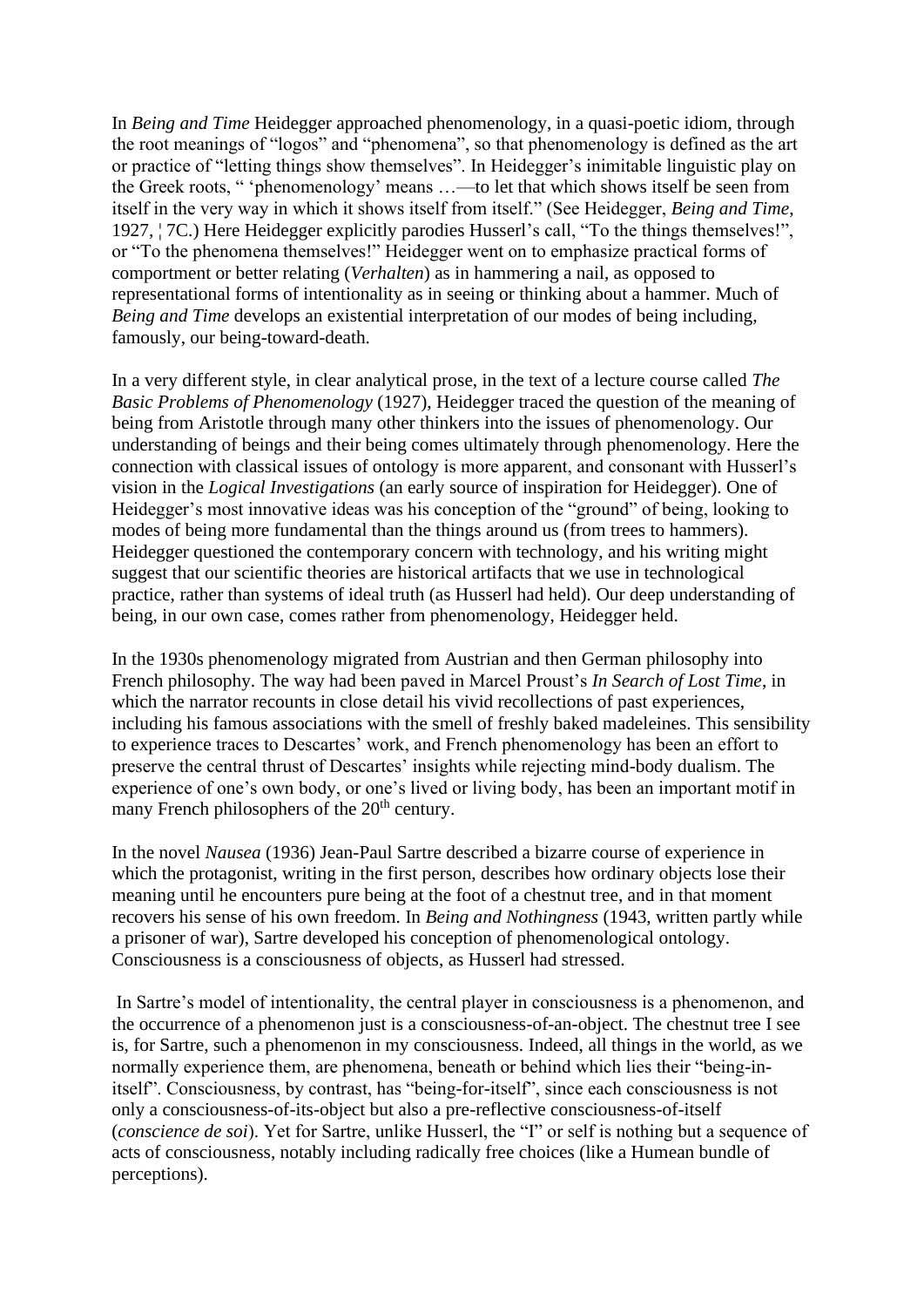In *Being and Time* Heidegger approached phenomenology, in a quasi-poetic idiom, through the root meanings of "logos" and "phenomena", so that phenomenology is defined as the art or practice of "letting things show themselves". In Heidegger's inimitable linguistic play on the Greek roots, " 'phenomenology' means …—to let that which shows itself be seen from itself in the very way in which it shows itself from itself." (See Heidegger, *Being and Time*, 1927, ¦ 7C.) Here Heidegger explicitly parodies Husserl's call, "To the things themselves!", or "To the phenomena themselves!" Heidegger went on to emphasize practical forms of comportment or better relating (*Verhalten*) as in hammering a nail, as opposed to representational forms of intentionality as in seeing or thinking about a hammer. Much of *Being and Time* develops an existential interpretation of our modes of being including, famously, our being-toward-death.

In a very different style, in clear analytical prose, in the text of a lecture course called *The Basic Problems of Phenomenology* (1927), Heidegger traced the question of the meaning of being from Aristotle through many other thinkers into the issues of phenomenology. Our understanding of beings and their being comes ultimately through phenomenology. Here the connection with classical issues of ontology is more apparent, and consonant with Husserl's vision in the *Logical Investigations* (an early source of inspiration for Heidegger). One of Heidegger's most innovative ideas was his conception of the "ground" of being, looking to modes of being more fundamental than the things around us (from trees to hammers). Heidegger questioned the contemporary concern with technology, and his writing might suggest that our scientific theories are historical artifacts that we use in technological practice, rather than systems of ideal truth (as Husserl had held). Our deep understanding of being, in our own case, comes rather from phenomenology, Heidegger held.

In the 1930s phenomenology migrated from Austrian and then German philosophy into French philosophy. The way had been paved in Marcel Proust's *In Search of Lost Time*, in which the narrator recounts in close detail his vivid recollections of past experiences, including his famous associations with the smell of freshly baked madeleines. This sensibility to experience traces to Descartes' work, and French phenomenology has been an effort to preserve the central thrust of Descartes' insights while rejecting mind-body dualism. The experience of one's own body, or one's lived or living body, has been an important motif in many French philosophers of the  $20<sup>th</sup>$  century.

In the novel *Nausea* (1936) Jean-Paul Sartre described a bizarre course of experience in which the protagonist, writing in the first person, describes how ordinary objects lose their meaning until he encounters pure being at the foot of a chestnut tree, and in that moment recovers his sense of his own freedom. In *Being and Nothingness* (1943, written partly while a prisoner of war), Sartre developed his conception of phenomenological ontology. Consciousness is a consciousness of objects, as Husserl had stressed.

In Sartre's model of intentionality, the central player in consciousness is a phenomenon, and the occurrence of a phenomenon just is a consciousness-of-an-object. The chestnut tree I see is, for Sartre, such a phenomenon in my consciousness. Indeed, all things in the world, as we normally experience them, are phenomena, beneath or behind which lies their "being-initself". Consciousness, by contrast, has "being-for-itself", since each consciousness is not only a consciousness-of-its-object but also a pre-reflective consciousness-of-itself (*conscience de soi*). Yet for Sartre, unlike Husserl, the "I" or self is nothing but a sequence of acts of consciousness, notably including radically free choices (like a Humean bundle of perceptions).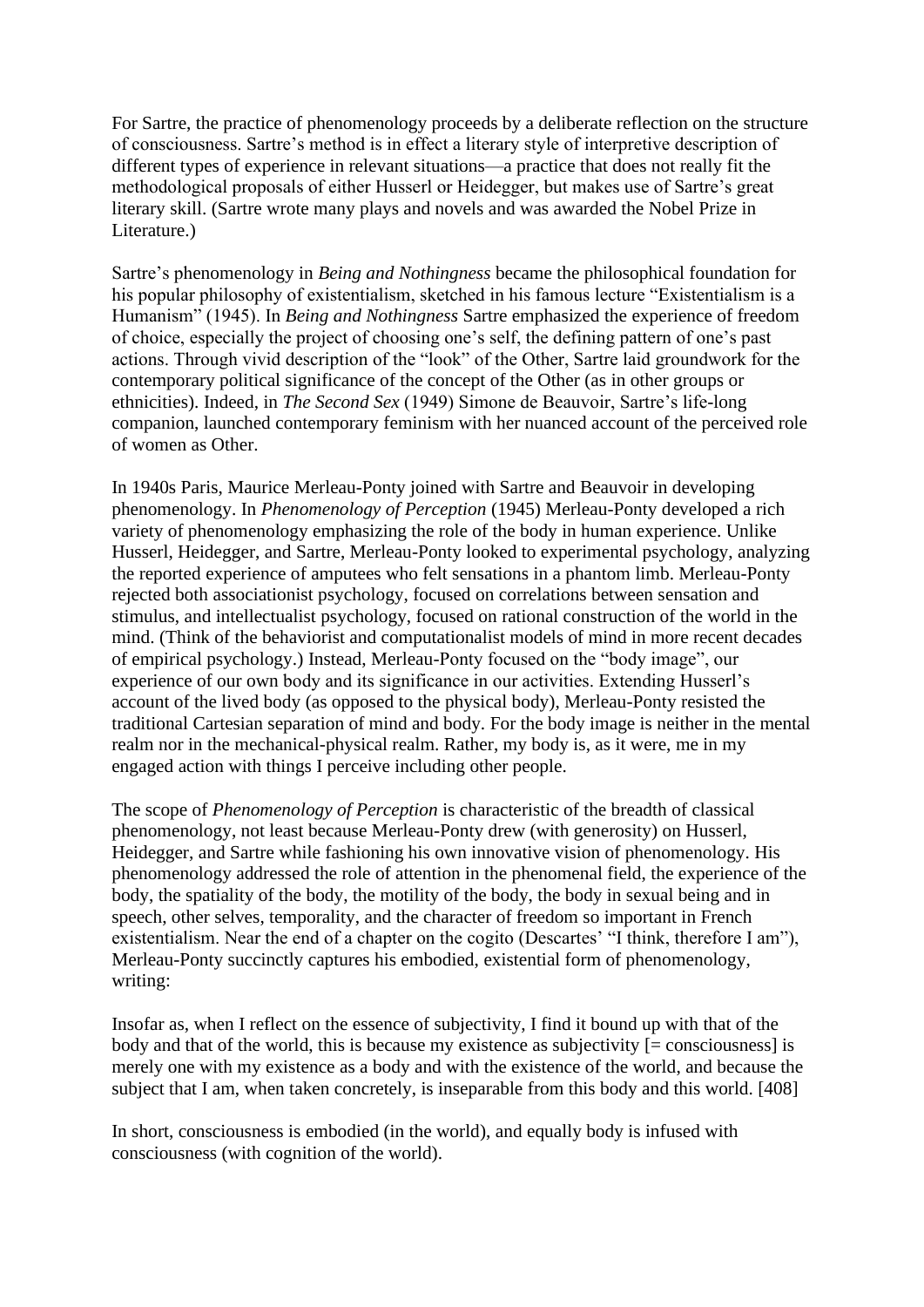For Sartre, the practice of phenomenology proceeds by a deliberate reflection on the structure of consciousness. Sartre's method is in effect a literary style of interpretive description of different types of experience in relevant situations—a practice that does not really fit the methodological proposals of either Husserl or Heidegger, but makes use of Sartre's great literary skill. (Sartre wrote many plays and novels and was awarded the Nobel Prize in Literature.)

Sartre's phenomenology in *Being and Nothingness* became the philosophical foundation for his popular philosophy of existentialism, sketched in his famous lecture "Existentialism is a Humanism" (1945). In *Being and Nothingness* Sartre emphasized the experience of freedom of choice, especially the project of choosing one's self, the defining pattern of one's past actions. Through vivid description of the "look" of the Other, Sartre laid groundwork for the contemporary political significance of the concept of the Other (as in other groups or ethnicities). Indeed, in *The Second Sex* (1949) Simone de Beauvoir, Sartre's life-long companion, launched contemporary feminism with her nuanced account of the perceived role of women as Other.

In 1940s Paris, Maurice Merleau-Ponty joined with Sartre and Beauvoir in developing phenomenology. In *Phenomenology of Perception* (1945) Merleau-Ponty developed a rich variety of phenomenology emphasizing the role of the body in human experience. Unlike Husserl, Heidegger, and Sartre, Merleau-Ponty looked to experimental psychology, analyzing the reported experience of amputees who felt sensations in a phantom limb. Merleau-Ponty rejected both associationist psychology, focused on correlations between sensation and stimulus, and intellectualist psychology, focused on rational construction of the world in the mind. (Think of the behaviorist and computationalist models of mind in more recent decades of empirical psychology.) Instead, Merleau-Ponty focused on the "body image", our experience of our own body and its significance in our activities. Extending Husserl's account of the lived body (as opposed to the physical body), Merleau-Ponty resisted the traditional Cartesian separation of mind and body. For the body image is neither in the mental realm nor in the mechanical-physical realm. Rather, my body is, as it were, me in my engaged action with things I perceive including other people.

The scope of *Phenomenology of Perception* is characteristic of the breadth of classical phenomenology, not least because Merleau-Ponty drew (with generosity) on Husserl, Heidegger, and Sartre while fashioning his own innovative vision of phenomenology. His phenomenology addressed the role of attention in the phenomenal field, the experience of the body, the spatiality of the body, the motility of the body, the body in sexual being and in speech, other selves, temporality, and the character of freedom so important in French existentialism. Near the end of a chapter on the cogito (Descartes' "I think, therefore I am"), Merleau-Ponty succinctly captures his embodied, existential form of phenomenology, writing:

Insofar as, when I reflect on the essence of subjectivity, I find it bound up with that of the body and that of the world, this is because my existence as subjectivity  $[=$  consciousness is merely one with my existence as a body and with the existence of the world, and because the subject that I am, when taken concretely, is inseparable from this body and this world. [408]

In short, consciousness is embodied (in the world), and equally body is infused with consciousness (with cognition of the world).